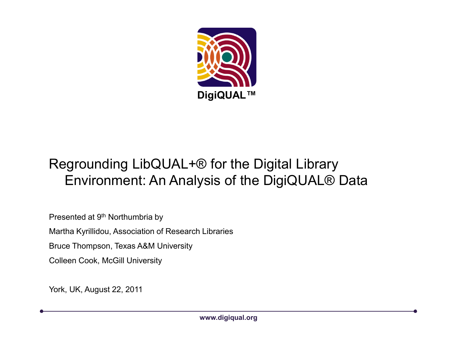

#### Regrounding LibQUAL+® for the Digital Library Environment: An Analysis of the DigiQUAL® Data

Presented at 9<sup>th</sup> Northumbria by

Martha Kyrillidou, Association of Research Libraries

Bruce Thompson, Texas A&M University

Colleen Cook, McGill University

York, UK, August 22, 2011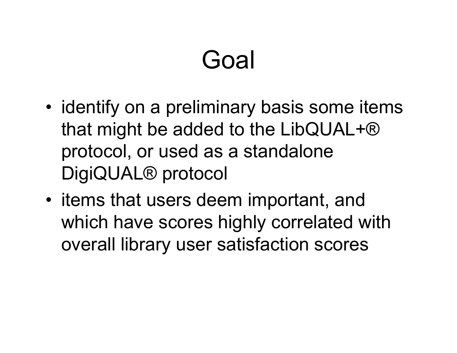# Goal

- •identify on a preliminary basis some items that might be added to the LibQUAL+® protocol, or used as a standalone DigiQUAL® protocol
- items that users deem important, and<br> which have scores highly correlated with overall library user satisfaction scores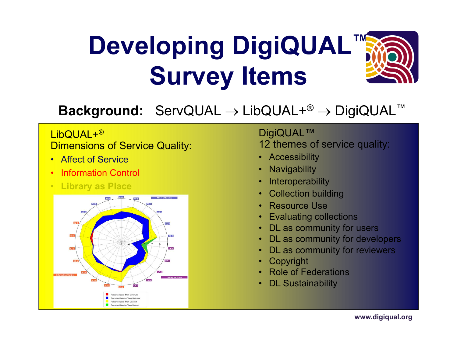# **Developing DigiQUAL™Survey Items**



## **Background:** ServQUAL <sup>→</sup> LibQUAL+® <sup>→</sup> DigiQUAL™

#### LibQUAL+®**Dimensions of Service Quality:**

- Affect of Service
- •Information Control
- **Library as Place**



#### DigiQUAL™12 themes of service quality:

- Accessibility
- •**Navigability**
- •**Interoperability**
- •Collection building
- •Resource Use
- •Evaluating collections
- •DL as community for users
- •DL as community for developers
- •DL as community for reviewers
- •Copyright
- •Role of Federations
- •DL Sustainability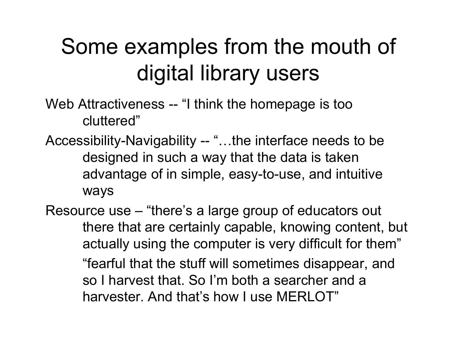### Some examples from the mouth of digital library users

- Web Attractiveness -- "I think the homepage is too cluttered"
- Accessibility-Navigability -- "...the interface needs to be designed in such a way that the data is taken advantage of in simple, easy-to-use, and intuitive ways
- Resource use "there's a large group of educators out there that are certainly capable, knowing content, but actually using the computer is very difficult for them""fearful that the stuff will sometimes disappear, and so I harvest that. So I'm both a searcher and a harvester. And that's how I use MERLOT"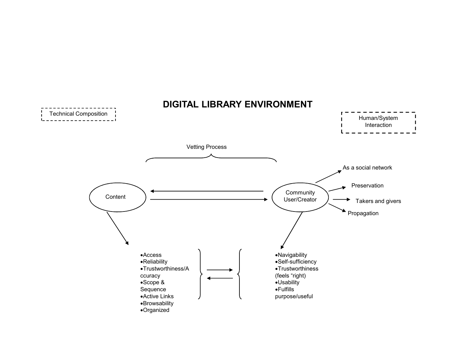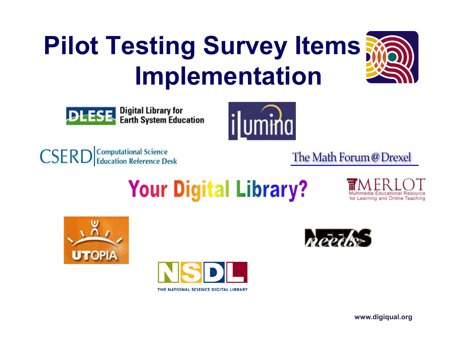# **Pilot Testing Survey Items Implementation**







**CSERD** Computational Science

The Math Forum@Drexel

## **Your Digital Library?**

for Learning and Online Teaching







**www.digiqual.org**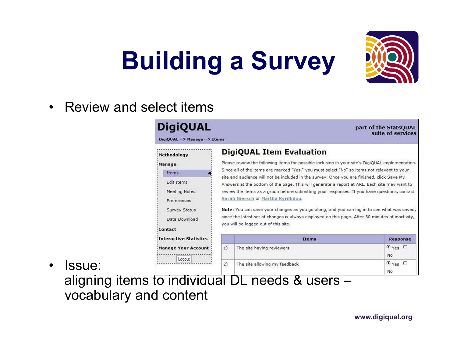# **Building a Survey**



•



 Issue: aligning items to individual DL needs & users –vocabulary and content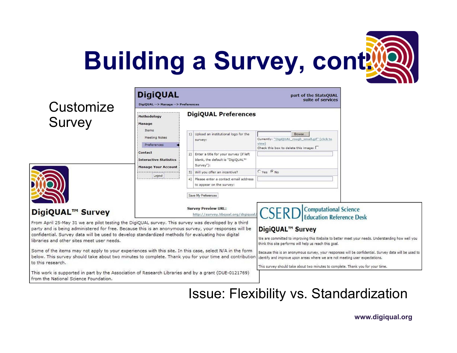

| <b>DigiQUAL Preferences</b><br>1) Upload an institutional logo for the<br>2) Enter a title for your survey (if left<br>blank, the default is "DigiQUAL™<br>3) Will you offer an incentive?<br>4) Please enter a contact email address<br>to appear on the survey:<br>Save My Preferences                          | Browse<br>Currently: "DigiQUAL_rough_small.gif" (click to<br>view)<br>Check this box to delete this image: $\Box$<br>$C$ Yes $G$ No |                                                                                                                                  |
|-------------------------------------------------------------------------------------------------------------------------------------------------------------------------------------------------------------------------------------------------------------------------------------------------------------------|-------------------------------------------------------------------------------------------------------------------------------------|----------------------------------------------------------------------------------------------------------------------------------|
|                                                                                                                                                                                                                                                                                                                   |                                                                                                                                     |                                                                                                                                  |
|                                                                                                                                                                                                                                                                                                                   |                                                                                                                                     |                                                                                                                                  |
|                                                                                                                                                                                                                                                                                                                   |                                                                                                                                     |                                                                                                                                  |
|                                                                                                                                                                                                                                                                                                                   |                                                                                                                                     |                                                                                                                                  |
|                                                                                                                                                                                                                                                                                                                   |                                                                                                                                     |                                                                                                                                  |
| <b>Survey Preview URL:</b><br>http://survey.libqual.org/digiqual                                                                                                                                                                                                                                                  | <b>CSERD</b>                                                                                                                        | <b>Computational Science</b><br><b>Education Reference Desk</b>                                                                  |
| From April 25-May 31 we are pilot testing the DigiQUAL survey. This survey was developed by a third<br>party and is being administered for free. Because this is an anonymous survey, your responses will be<br>confidential. Survey data will be used to develop standardized methods for evaluating how digital | <b>DigiQUAL™ Survey</b><br>think this site performs will help us reach this goal.                                                   | We are committed to improving this Website to better meet your needs. Understanding how well you                                 |
| Some of the items may not apply to your experiences with this site. In this case, select N/A in the form<br>below. This survey should take about two minutes to complete. Thank you for your time and contribution                                                                                                | identify and improve upon areas where we are not meeting user expectations.                                                         | Because this is an anonymous survey, your responses will be confidential. Survey data will be used to                            |
| This work is supported in part by the Association of Research Libraries and by a grant (DUE-0121769)                                                                                                                                                                                                              |                                                                                                                                     |                                                                                                                                  |
|                                                                                                                                                                                                                                                                                                                   |                                                                                                                                     | This survey should take about two minutes to complete. Thank you for your time.<br><b>Issue: Flexibility vs. Standardization</b> |

**www.digiqual.org**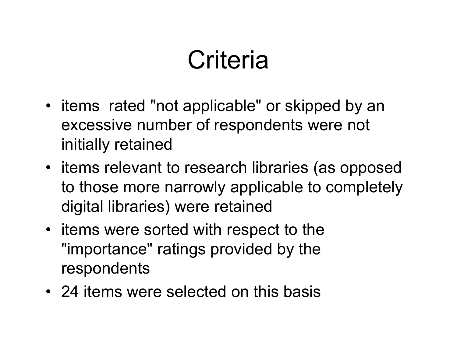# **Criteria**

- items rated "not applicable" or skipped by an excessive number of respondents were not initially retained
- items relevant to research libraries (as opposed to those more narrowly applicable to completely digital libraries) were retained
- items were sorted with respect to the "importance" ratings provided by the respondents
- 24 items were selected on this basis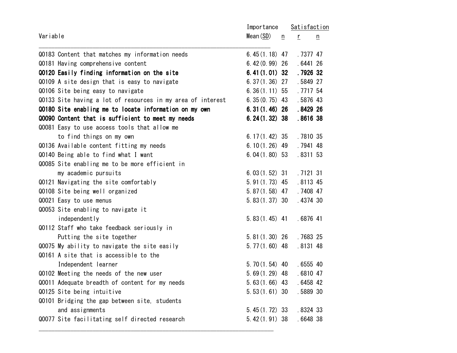| Variable |                                                             | Importance       |   | Satisfaction |                 |
|----------|-------------------------------------------------------------|------------------|---|--------------|-----------------|
|          |                                                             | Mean (SD)        | n | $\Gamma$     | $\underline{n}$ |
|          | Q0183 Content that matches my information needs             | 6.45 $(1.18)$ 47 |   | .7377 47     |                 |
|          | Q0181 Having comprehensive content                          | $6.42(0.99)$ 26  |   | .6441 26     |                 |
|          | Q0120 Easily finding information on the site                | $6.41(1.01)$ 32  |   | .7926 32     |                 |
|          | Q0109 A site design that is easy to navigate                | $6.37(1.36)$ 27  |   | .5849 27     |                 |
|          | Q0106 Site being easy to navigate                           | $6.36(1.11)$ 55  |   | .7717 54     |                 |
|          | Q0133 Site having a lot of resources in my area of interest | $6.35(0.75)$ 43  |   | .5876 43     |                 |
|          | Q0180 Site enabling me to locate information on my own      | $6.31(1.46)$ 26  |   | .8429 26     |                 |
|          | Q0090 Content that is sufficient to meet my needs           | $6.24(1.32)$ 38  |   | .8616 38     |                 |
|          | Q0081 Easy to use access tools that allow me                |                  |   |              |                 |
|          | to find things on my own                                    | 6. $17(1.42)$ 35 |   | .7810 35     |                 |
|          | Q0136 Available content fitting my needs                    | $6.10(1.26)$ 49  |   | .7941 48     |                 |
|          | Q0140 Being able to find what I want                        | $6.04(1.80)$ 53  |   | .8311 53     |                 |
|          | Q0085 Site enabling me to be more efficient in              |                  |   |              |                 |
|          | my academic pursuits                                        | $6.03(1.52)$ 31  |   | . 7121 31    |                 |
|          | Q0121 Navigating the site comfortably                       | $5.91(1.73)$ 45  |   | .8113 45     |                 |
|          | Q0108 Site being well organized                             | $5.87(1.58)$ 47  |   | .7408 47     |                 |
|          | Q0021 Easy to use menus                                     | $5.83(1.37)$ 30  |   | .4374 30     |                 |
|          | Q0053 Site enabling to navigate it                          |                  |   |              |                 |
|          | independently                                               | $5.83(1.45)$ 41  |   | $.6876$ 41   |                 |
|          | Q0112 Staff who take feedback seriously in                  |                  |   |              |                 |
|          | Putting the site together                                   | $5.81(1.30)$ 26  |   | .7683 25     |                 |
|          | Q0075 My ability to navigate the site easily                | $5.77(1.60)$ 48  |   | .8131 48     |                 |
|          | Q0161 A site that is accessible to the                      |                  |   |              |                 |
|          | Independent learner                                         | $5.70(1.54)$ 40  |   | .6555 40     |                 |
|          | Q0102 Meeting the needs of the new user                     | $5.69(1.29)$ 48  |   | .6810 47     |                 |
|          | Q0011 Adequate breadth of content for my needs              | $5.63(1.66)$ 43  |   | $.6458$ 42   |                 |
|          | 00125 Site being intuitive                                  | $5.53(1.61)$ 30  |   | .5889 30     |                 |
|          | Q0101 Bridging the gap between site, students               |                  |   |              |                 |
|          | and assignments                                             | $5.45(1.72)$ 33  |   | . 8324 33    |                 |
|          | Q0077 Site facilitating self directed research              | $5.42(1.91)$ 38  |   | .6648 38     |                 |
|          |                                                             |                  |   |              |                 |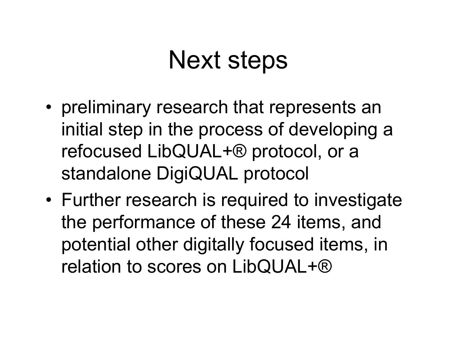## Next steps

- preliminary research that represents an<br>initial atap in the presease of developing initial step in the process of developing a refocused LibQUAL+® protocol, or a standalone DigiQUAL protocol
- Further research is required to investigate the performance of these 24 items, and potential other digitally focused items, in relation to scores on LibQUAL+®